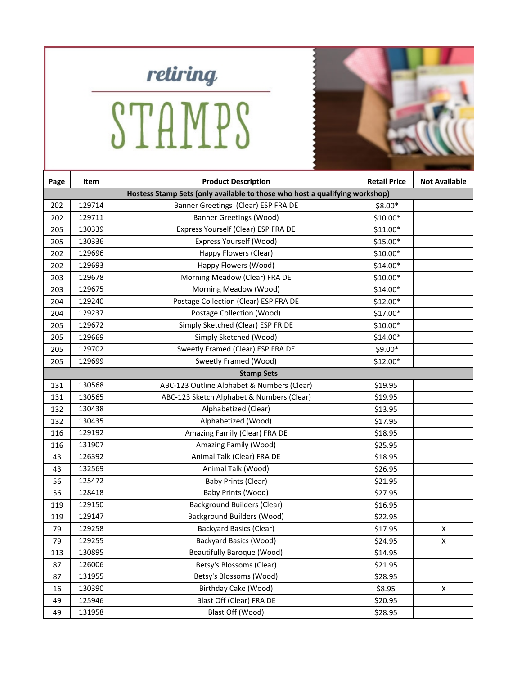

STAMPS

| Page | Item                                                                        | <b>Product Description</b>                 | <b>Retail Price</b> | <b>Not Available</b> |  |
|------|-----------------------------------------------------------------------------|--------------------------------------------|---------------------|----------------------|--|
|      | Hostess Stamp Sets (only available to those who host a qualifying workshop) |                                            |                     |                      |  |
| 202  | 129714                                                                      | Banner Greetings (Clear) ESP FRA DE        | \$8.00*             |                      |  |
| 202  | 129711                                                                      | <b>Banner Greetings (Wood)</b>             | \$10.00*            |                      |  |
| 205  | 130339                                                                      | Express Yourself (Clear) ESP FRA DE        | \$11.00*            |                      |  |
| 205  | 130336                                                                      | Express Yourself (Wood)                    | \$15.00*            |                      |  |
| 202  | 129696                                                                      | Happy Flowers (Clear)                      | \$10.00*            |                      |  |
| 202  | 129693                                                                      | Happy Flowers (Wood)                       | $$14.00*$           |                      |  |
| 203  | 129678                                                                      | Morning Meadow (Clear) FRA DE              | $$10.00*$           |                      |  |
| 203  | 129675                                                                      | Morning Meadow (Wood)                      | \$14.00*            |                      |  |
| 204  | 129240                                                                      | Postage Collection (Clear) ESP FRA DE      | $$12.00*$           |                      |  |
| 204  | 129237                                                                      | Postage Collection (Wood)                  | $$17.00*$           |                      |  |
| 205  | 129672                                                                      | Simply Sketched (Clear) ESP FR DE          | \$10.00*            |                      |  |
| 205  | 129669                                                                      | Simply Sketched (Wood)                     | $$14.00*$           |                      |  |
| 205  | 129702                                                                      | Sweetly Framed (Clear) ESP FRA DE          | \$9.00*             |                      |  |
| 205  | 129699                                                                      | Sweetly Framed (Wood)                      | \$12.00*            |                      |  |
|      | <b>Stamp Sets</b>                                                           |                                            |                     |                      |  |
| 131  | 130568                                                                      | ABC-123 Outline Alphabet & Numbers (Clear) | \$19.95             |                      |  |
| 131  | 130565                                                                      | ABC-123 Sketch Alphabet & Numbers (Clear)  | \$19.95             |                      |  |
| 132  | 130438                                                                      | Alphabetized (Clear)                       | \$13.95             |                      |  |
| 132  | 130435                                                                      | Alphabetized (Wood)                        | \$17.95             |                      |  |
| 116  | 129192                                                                      | Amazing Family (Clear) FRA DE              | \$18.95             |                      |  |
| 116  | 131907                                                                      | Amazing Family (Wood)                      | \$25.95             |                      |  |
| 43   | 126392                                                                      | Animal Talk (Clear) FRA DE                 | \$18.95             |                      |  |
| 43   | 132569                                                                      | Animal Talk (Wood)                         | \$26.95             |                      |  |
| 56   | 125472                                                                      | Baby Prints (Clear)                        | \$21.95             |                      |  |
| 56   | 128418                                                                      | Baby Prints (Wood)                         | \$27.95             |                      |  |
| 119  | 129150                                                                      | <b>Background Builders (Clear)</b>         | \$16.95             |                      |  |
| 119  | 129147                                                                      | <b>Background Builders (Wood)</b>          | \$22.95             |                      |  |
| 79   | 129258                                                                      | <b>Backyard Basics (Clear)</b>             | \$17.95             | X                    |  |
| 79   | 129255                                                                      | <b>Backyard Basics (Wood)</b>              | \$24.95             | X                    |  |
| 113  | 130895                                                                      | <b>Beautifully Baroque (Wood)</b>          | \$14.95             |                      |  |
| 87   | 126006                                                                      | Betsy's Blossoms (Clear)                   | \$21.95             |                      |  |
| 87   | 131955                                                                      | Betsy's Blossoms (Wood)                    | \$28.95             |                      |  |
| 16   | 130390                                                                      | Birthday Cake (Wood)                       | \$8.95              | X                    |  |
| 49   | 125946                                                                      | Blast Off (Clear) FRA DE                   | \$20.95             |                      |  |
| 49   | 131958                                                                      | Blast Off (Wood)                           | \$28.95             |                      |  |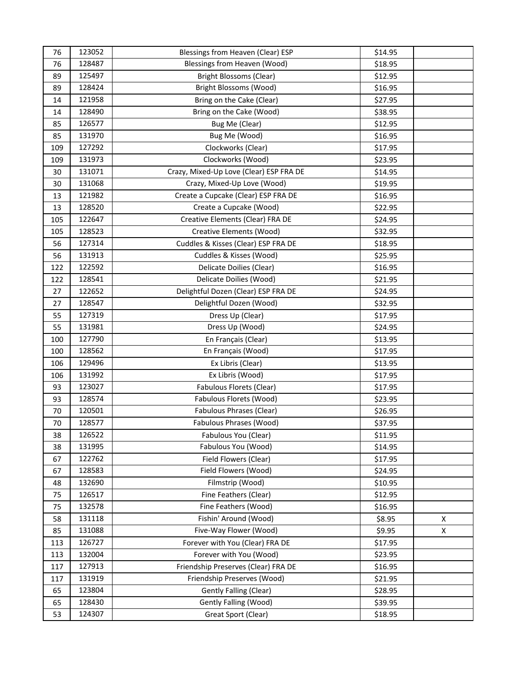| 76  | 123052 | Blessings from Heaven (Clear) ESP       | \$14.95 |   |
|-----|--------|-----------------------------------------|---------|---|
| 76  | 128487 | Blessings from Heaven (Wood)            | \$18.95 |   |
| 89  | 125497 | <b>Bright Blossoms (Clear)</b>          | \$12.95 |   |
| 89  | 128424 | Bright Blossoms (Wood)                  | \$16.95 |   |
| 14  | 121958 | Bring on the Cake (Clear)               | \$27.95 |   |
| 14  | 128490 | Bring on the Cake (Wood)                | \$38.95 |   |
| 85  | 126577 | Bug Me (Clear)                          | \$12.95 |   |
| 85  | 131970 | Bug Me (Wood)                           | \$16.95 |   |
| 109 | 127292 | Clockworks (Clear)                      | \$17.95 |   |
| 109 | 131973 | Clockworks (Wood)                       | \$23.95 |   |
| 30  | 131071 | Crazy, Mixed-Up Love (Clear) ESP FRA DE | \$14.95 |   |
| 30  | 131068 | Crazy, Mixed-Up Love (Wood)             | \$19.95 |   |
| 13  | 121982 | Create a Cupcake (Clear) ESP FRA DE     | \$16.95 |   |
| 13  | 128520 | Create a Cupcake (Wood)                 | \$22.95 |   |
| 105 | 122647 | Creative Elements (Clear) FRA DE        | \$24.95 |   |
| 105 | 128523 | <b>Creative Elements (Wood)</b>         | \$32.95 |   |
| 56  | 127314 | Cuddles & Kisses (Clear) ESP FRA DE     | \$18.95 |   |
| 56  | 131913 | Cuddles & Kisses (Wood)                 | \$25.95 |   |
| 122 | 122592 | Delicate Doilies (Clear)                | \$16.95 |   |
| 122 | 128541 | Delicate Doilies (Wood)                 | \$21.95 |   |
| 27  | 122652 | Delightful Dozen (Clear) ESP FRA DE     | \$24.95 |   |
| 27  | 128547 | Delightful Dozen (Wood)                 | \$32.95 |   |
| 55  | 127319 | Dress Up (Clear)                        | \$17.95 |   |
| 55  | 131981 | Dress Up (Wood)                         | \$24.95 |   |
| 100 | 127790 | En Français (Clear)                     | \$13.95 |   |
| 100 | 128562 | En Français (Wood)                      | \$17.95 |   |
| 106 | 129496 | Ex Libris (Clear)                       | \$13.95 |   |
| 106 | 131992 | Ex Libris (Wood)                        | \$17.95 |   |
| 93  | 123027 | Fabulous Florets (Clear)                | \$17.95 |   |
| 93  | 128574 | Fabulous Florets (Wood)                 | \$23.95 |   |
| 70  | 120501 | Fabulous Phrases (Clear)                | \$26.95 |   |
| 70  | 128577 | Fabulous Phrases (Wood)                 | \$37.95 |   |
| 38  | 126522 | Fabulous You (Clear)                    | \$11.95 |   |
| 38  | 131995 | Fabulous You (Wood)                     | \$14.95 |   |
| 67  | 122762 | Field Flowers (Clear)                   | \$17.95 |   |
| 67  | 128583 | Field Flowers (Wood)                    | \$24.95 |   |
| 48  | 132690 | Filmstrip (Wood)                        | \$10.95 |   |
| 75  | 126517 | Fine Feathers (Clear)                   | \$12.95 |   |
| 75  | 132578 | Fine Feathers (Wood)                    | \$16.95 |   |
| 58  | 131118 | Fishin' Around (Wood)                   | \$8.95  | X |
| 85  | 131088 | Five-Way Flower (Wood)                  | \$9.95  | X |
| 113 | 126727 | Forever with You (Clear) FRA DE         | \$17.95 |   |
| 113 | 132004 | Forever with You (Wood)                 | \$23.95 |   |
| 117 | 127913 | Friendship Preserves (Clear) FRA DE     | \$16.95 |   |
| 117 | 131919 | Friendship Preserves (Wood)             | \$21.95 |   |
| 65  | 123804 | Gently Falling (Clear)                  | \$28.95 |   |
| 65  | 128430 | <b>Gently Falling (Wood)</b>            | \$39.95 |   |
| 53  | 124307 | Great Sport (Clear)                     | \$18.95 |   |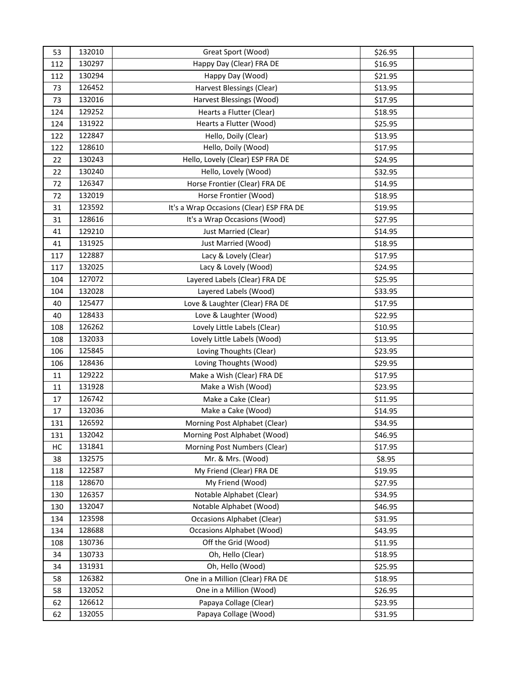| 53  | 132010 | Great Sport (Wood)                       | \$26.95 |  |
|-----|--------|------------------------------------------|---------|--|
| 112 | 130297 | Happy Day (Clear) FRA DE                 | \$16.95 |  |
| 112 | 130294 | Happy Day (Wood)                         | \$21.95 |  |
| 73  | 126452 | Harvest Blessings (Clear)                | \$13.95 |  |
| 73  | 132016 | Harvest Blessings (Wood)                 | \$17.95 |  |
| 124 | 129252 | Hearts a Flutter (Clear)                 | \$18.95 |  |
| 124 | 131922 | Hearts a Flutter (Wood)                  | \$25.95 |  |
| 122 | 122847 | Hello, Doily (Clear)                     | \$13.95 |  |
| 122 | 128610 | Hello, Doily (Wood)                      | \$17.95 |  |
| 22  | 130243 | Hello, Lovely (Clear) ESP FRA DE         | \$24.95 |  |
| 22  | 130240 | Hello, Lovely (Wood)                     | \$32.95 |  |
| 72  | 126347 | Horse Frontier (Clear) FRA DE            | \$14.95 |  |
| 72  | 132019 | Horse Frontier (Wood)                    | \$18.95 |  |
| 31  | 123592 | It's a Wrap Occasions (Clear) ESP FRA DE | \$19.95 |  |
| 31  | 128616 | It's a Wrap Occasions (Wood)             | \$27.95 |  |
| 41  | 129210 | Just Married (Clear)                     | \$14.95 |  |
| 41  | 131925 | Just Married (Wood)                      | \$18.95 |  |
| 117 | 122887 | Lacy & Lovely (Clear)                    | \$17.95 |  |
| 117 | 132025 | Lacy & Lovely (Wood)                     | \$24.95 |  |
| 104 | 127072 | Layered Labels (Clear) FRA DE            | \$25.95 |  |
| 104 | 132028 | Layered Labels (Wood)                    | \$33.95 |  |
| 40  | 125477 | Love & Laughter (Clear) FRA DE           | \$17.95 |  |
| 40  | 128433 | Love & Laughter (Wood)                   | \$22.95 |  |
| 108 | 126262 | Lovely Little Labels (Clear)             | \$10.95 |  |
| 108 | 132033 | Lovely Little Labels (Wood)              | \$13.95 |  |
| 106 | 125845 | Loving Thoughts (Clear)                  | \$23.95 |  |
| 106 | 128436 | Loving Thoughts (Wood)                   | \$29.95 |  |
| 11  | 129222 | Make a Wish (Clear) FRA DE               | \$17.95 |  |
| 11  | 131928 | Make a Wish (Wood)                       | \$23.95 |  |
| 17  | 126742 | Make a Cake (Clear)                      | \$11.95 |  |
| 17  | 132036 | Make a Cake (Wood)                       | \$14.95 |  |
| 131 | 126592 | Morning Post Alphabet (Clear)            | \$34.95 |  |
| 131 | 132042 | Morning Post Alphabet (Wood)             | \$46.95 |  |
| HC  | 131841 | Morning Post Numbers (Clear)             | \$17.95 |  |
| 38  | 132575 | Mr. & Mrs. (Wood)                        | \$8.95  |  |
| 118 | 122587 | My Friend (Clear) FRA DE                 | \$19.95 |  |
| 118 | 128670 | My Friend (Wood)                         | \$27.95 |  |
| 130 | 126357 | Notable Alphabet (Clear)                 | \$34.95 |  |
| 130 | 132047 | Notable Alphabet (Wood)                  | \$46.95 |  |
| 134 | 123598 | <b>Occasions Alphabet (Clear)</b>        | \$31.95 |  |
| 134 | 128688 | <b>Occasions Alphabet (Wood)</b>         | \$43.95 |  |
| 108 | 130736 | Off the Grid (Wood)                      | \$11.95 |  |
| 34  | 130733 | Oh, Hello (Clear)                        | \$18.95 |  |
| 34  | 131931 | Oh, Hello (Wood)                         | \$25.95 |  |
| 58  | 126382 | One in a Million (Clear) FRA DE          | \$18.95 |  |
| 58  | 132052 | One in a Million (Wood)                  | \$26.95 |  |
| 62  | 126612 | Papaya Collage (Clear)                   | \$23.95 |  |
| 62  | 132055 | Papaya Collage (Wood)                    | \$31.95 |  |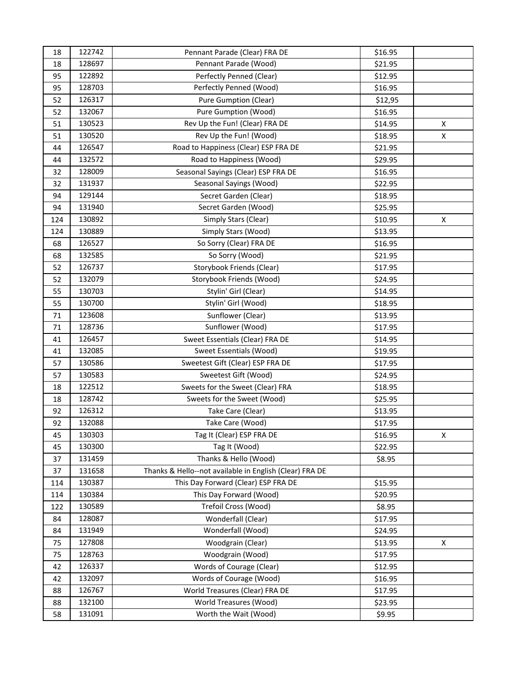| 18  | 122742 | Pennant Parade (Clear) FRA DE                           | \$16.95 |   |
|-----|--------|---------------------------------------------------------|---------|---|
| 18  | 128697 | Pennant Parade (Wood)                                   | \$21.95 |   |
| 95  | 122892 | Perfectly Penned (Clear)                                | \$12.95 |   |
| 95  | 128703 | Perfectly Penned (Wood)                                 | \$16.95 |   |
| 52  | 126317 | <b>Pure Gumption (Clear)</b>                            | \$12,95 |   |
| 52  | 132067 | Pure Gumption (Wood)                                    | \$16.95 |   |
| 51  | 130523 | Rev Up the Fun! (Clear) FRA DE                          | \$14.95 | X |
| 51  | 130520 | Rev Up the Fun! (Wood)                                  | \$18.95 | X |
| 44  | 126547 | Road to Happiness (Clear) ESP FRA DE                    | \$21.95 |   |
| 44  | 132572 | Road to Happiness (Wood)                                | \$29.95 |   |
| 32  | 128009 | Seasonal Sayings (Clear) ESP FRA DE                     | \$16.95 |   |
| 32  | 131937 | Seasonal Sayings (Wood)                                 | \$22.95 |   |
| 94  | 129144 | Secret Garden (Clear)                                   | \$18.95 |   |
| 94  | 131940 | Secret Garden (Wood)                                    | \$25.95 |   |
| 124 | 130892 | Simply Stars (Clear)                                    | \$10.95 | Χ |
| 124 | 130889 | Simply Stars (Wood)                                     | \$13.95 |   |
| 68  | 126527 | So Sorry (Clear) FRA DE                                 | \$16.95 |   |
| 68  | 132585 | So Sorry (Wood)                                         | \$21.95 |   |
| 52  | 126737 | Storybook Friends (Clear)                               | \$17.95 |   |
| 52  | 132079 | Storybook Friends (Wood)                                | \$24.95 |   |
| 55  | 130703 | Stylin' Girl (Clear)                                    | \$14.95 |   |
| 55  | 130700 | Stylin' Girl (Wood)                                     | \$18.95 |   |
| 71  | 123608 | Sunflower (Clear)                                       | \$13.95 |   |
| 71  | 128736 | Sunflower (Wood)                                        | \$17.95 |   |
| 41  | 126457 | Sweet Essentials (Clear) FRA DE                         | \$14.95 |   |
| 41  | 132085 | Sweet Essentials (Wood)                                 | \$19.95 |   |
| 57  | 130586 | Sweetest Gift (Clear) ESP FRA DE                        | \$17.95 |   |
| 57  | 130583 | Sweetest Gift (Wood)                                    | \$24.95 |   |
| 18  | 122512 | Sweets for the Sweet (Clear) FRA                        | \$18.95 |   |
| 18  | 128742 | Sweets for the Sweet (Wood)                             | \$25.95 |   |
| 92  | 126312 | Take Care (Clear)                                       | \$13.95 |   |
| 92  | 132088 | Take Care (Wood)                                        | \$17.95 |   |
| 45  | 130303 | Tag It (Clear) ESP FRA DE                               | \$16.95 | X |
| 45  | 130300 | Tag It (Wood)                                           | \$22.95 |   |
| 37  | 131459 | Thanks & Hello (Wood)                                   | \$8.95  |   |
| 37  | 131658 | Thanks & Hello--not available in English (Clear) FRA DE |         |   |
| 114 | 130387 | This Day Forward (Clear) ESP FRA DE                     | \$15.95 |   |
| 114 | 130384 | This Day Forward (Wood)                                 | \$20.95 |   |
| 122 | 130589 | Trefoil Cross (Wood)                                    | \$8.95  |   |
| 84  | 128087 | Wonderfall (Clear)                                      | \$17.95 |   |
| 84  | 131949 | Wonderfall (Wood)                                       | \$24.95 |   |
| 75  | 127808 | Woodgrain (Clear)                                       | \$13.95 | X |
| 75  | 128763 | Woodgrain (Wood)                                        | \$17.95 |   |
| 42  | 126337 | Words of Courage (Clear)                                | \$12.95 |   |
| 42  | 132097 | Words of Courage (Wood)                                 | \$16.95 |   |
| 88  | 126767 | World Treasures (Clear) FRA DE                          | \$17.95 |   |
| 88  | 132100 | World Treasures (Wood)                                  | \$23.95 |   |
| 58  | 131091 | Worth the Wait (Wood)                                   | \$9.95  |   |